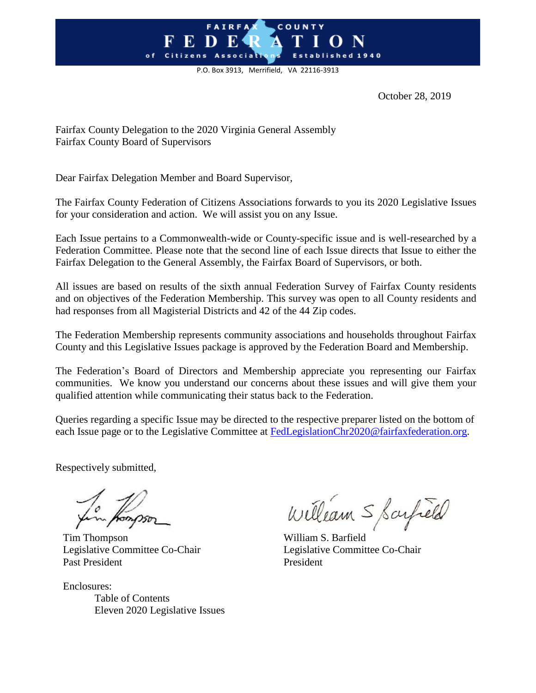## **FAIRFA** COUNTY o f

P.O. Box 3913, Merrifield, VA 22116-3913

October 28, 2019

Fairfax County Delegation to the 2020 Virginia General Assembly Fairfax County Board of Supervisors

Dear Fairfax Delegation Member and Board Supervisor,

The Fairfax County Federation of Citizens Associations forwards to you its 2020 Legislative Issues for your consideration and action. We will assist you on any Issue.

Each Issue pertains to a Commonwealth-wide or County-specific issue and is well-researched by a Federation Committee. Please note that the second line of each Issue directs that Issue to either the Fairfax Delegation to the General Assembly, the Fairfax Board of Supervisors, or both.

All issues are based on results of the sixth annual Federation Survey of Fairfax County residents and on objectives of the Federation Membership. This survey was open to all County residents and had responses from all Magisterial Districts and 42 of the 44 Zip codes.

The Federation Membership represents community associations and households throughout Fairfax County and this Legislative Issues package is approved by the Federation Board and Membership.

The Federation's Board of Directors and Membership appreciate you representing our Fairfax communities. We know you understand our concerns about these issues and will give them your qualified attention while communicating their status back to the Federation.

Queries regarding a specific Issue may be directed to the respective preparer listed on the bottom of each Issue page or to the Legislative Committee at [FedLegislationChr2020@fairfaxfederation.org.](mailto:FedLegislationChr2020@fairfaxfederation.org)

Respectively submitted,

Tim Thompson William S. Barfield Legislative Committee Co-Chair Legislative Committee Co-Chair Past President President

Enclosures: Table of Contents Eleven 2020 Legislative Issues

William S Sarfield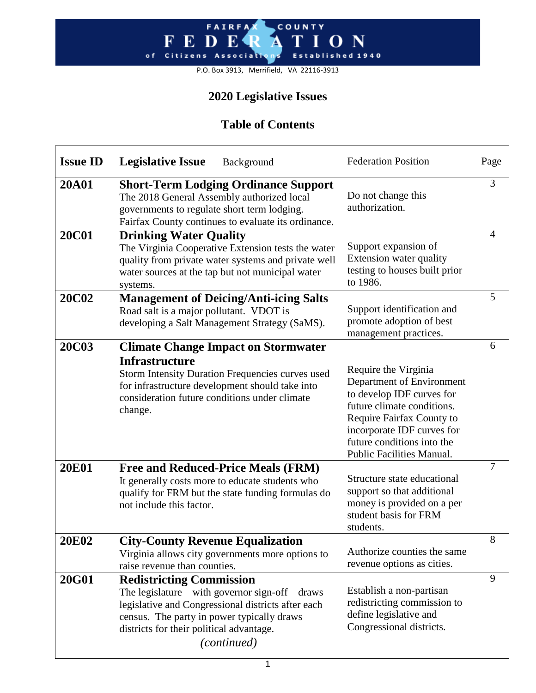#### FAIRFA COUNTY  $F E D$ O N E shed 1940 of Citizens Associatr E<sub>s</sub>

P.O. Box 3913, Merrifield, VA 22116-3913

# **2020 Legislative Issues**

# **Table of Contents**

| <b>Issue ID</b> | <b>Legislative Issue</b><br>Background                                                                                                                                                                                                                                                                     | <b>Federation Position</b>                                                                                                                                                                                                         | Page |
|-----------------|------------------------------------------------------------------------------------------------------------------------------------------------------------------------------------------------------------------------------------------------------------------------------------------------------------|------------------------------------------------------------------------------------------------------------------------------------------------------------------------------------------------------------------------------------|------|
| <b>20A01</b>    | <b>Short-Term Lodging Ordinance Support</b><br>The 2018 General Assembly authorized local<br>governments to regulate short term lodging.<br>Fairfax County continues to evaluate its ordinance.                                                                                                            | Do not change this<br>authorization.                                                                                                                                                                                               | 3    |
| <b>20C01</b>    | <b>Drinking Water Quality</b><br>Support expansion of<br>The Virginia Cooperative Extension tests the water<br>Extension water quality<br>quality from private water systems and private well<br>testing to houses built prior<br>water sources at the tap but not municipal water<br>to 1986.<br>systems. |                                                                                                                                                                                                                                    | 4    |
| <b>20C02</b>    | <b>Management of Deicing/Anti-icing Salts</b><br>Road salt is a major pollutant. VDOT is<br>developing a Salt Management Strategy (SaMS).                                                                                                                                                                  | Support identification and<br>promote adoption of best<br>management practices.                                                                                                                                                    | 5    |
| <b>20C03</b>    | <b>Climate Change Impact on Stormwater</b><br><b>Infrastructure</b><br><b>Storm Intensity Duration Frequencies curves used</b><br>for infrastructure development should take into<br>consideration future conditions under climate<br>change.                                                              | Require the Virginia<br>Department of Environment<br>to develop IDF curves for<br>future climate conditions.<br>Require Fairfax County to<br>incorporate IDF curves for<br>future conditions into the<br>Public Facilities Manual. | 6    |
| <b>20E01</b>    | <b>Free and Reduced-Price Meals (FRM)</b><br>It generally costs more to educate students who<br>qualify for FRM but the state funding formulas do<br>not include this factor.                                                                                                                              | Structure state educational<br>support so that additional<br>money is provided on a per<br>student basis for FRM<br>students.                                                                                                      |      |
| <b>20E02</b>    | <b>City-County Revenue Equalization</b><br>Virginia allows city governments more options to<br>raise revenue than counties.                                                                                                                                                                                | Authorize counties the same<br>revenue options as cities.                                                                                                                                                                          | 8    |
| <b>20G01</b>    | <b>Redistricting Commission</b><br>The legislature – with governor sign-off – draws<br>legislative and Congressional districts after each<br>census. The party in power typically draws<br>districts for their political advantage.<br>(continued)                                                         | Establish a non-partisan<br>redistricting commission to<br>define legislative and<br>Congressional districts.                                                                                                                      | 9    |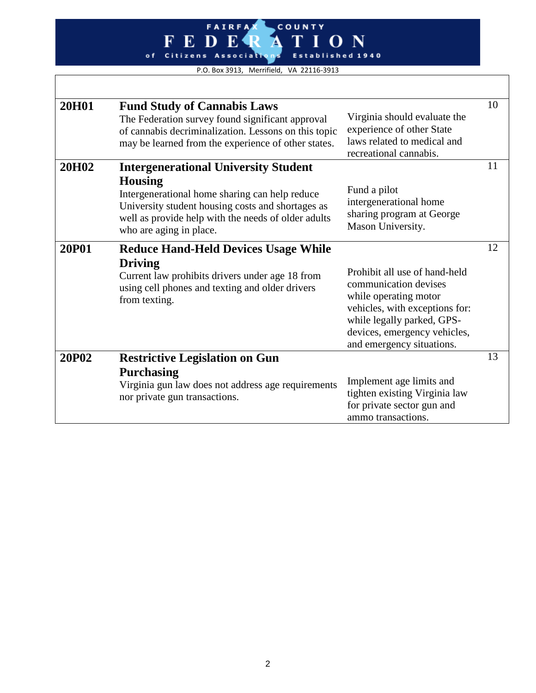# FAIRFAX COUNTY ATION Established 1940

P.O. Box 3913, Merrifield, VA 22116-3913

| 20H01        | <b>Fund Study of Cannabis Laws</b><br>The Federation survey found significant approval<br>of cannabis decriminalization. Lessons on this topic<br>may be learned from the experience of other states.                                                  | Virginia should evaluate the<br>experience of other State<br>laws related to medical and<br>recreational cannabis.                                                                                           | 10 |
|--------------|--------------------------------------------------------------------------------------------------------------------------------------------------------------------------------------------------------------------------------------------------------|--------------------------------------------------------------------------------------------------------------------------------------------------------------------------------------------------------------|----|
| 20H02        | <b>Intergenerational University Student</b><br><b>Housing</b><br>Intergenerational home sharing can help reduce<br>University student housing costs and shortages as<br>well as provide help with the needs of older adults<br>who are aging in place. | Fund a pilot<br>intergenerational home<br>sharing program at George<br>Mason University.                                                                                                                     | 11 |
| <b>20P01</b> | <b>Reduce Hand-Held Devices Usage While</b><br><b>Driving</b><br>Current law prohibits drivers under age 18 from<br>using cell phones and texting and older drivers<br>from texting.                                                                   | Prohibit all use of hand-held<br>communication devises<br>while operating motor<br>vehicles, with exceptions for:<br>while legally parked, GPS-<br>devices, emergency vehicles,<br>and emergency situations. | 12 |
| 20P02        | <b>Restrictive Legislation on Gun</b><br><b>Purchasing</b><br>Virginia gun law does not address age requirements<br>nor private gun transactions.                                                                                                      | Implement age limits and<br>tighten existing Virginia law<br>for private sector gun and<br>ammo transactions.                                                                                                | 13 |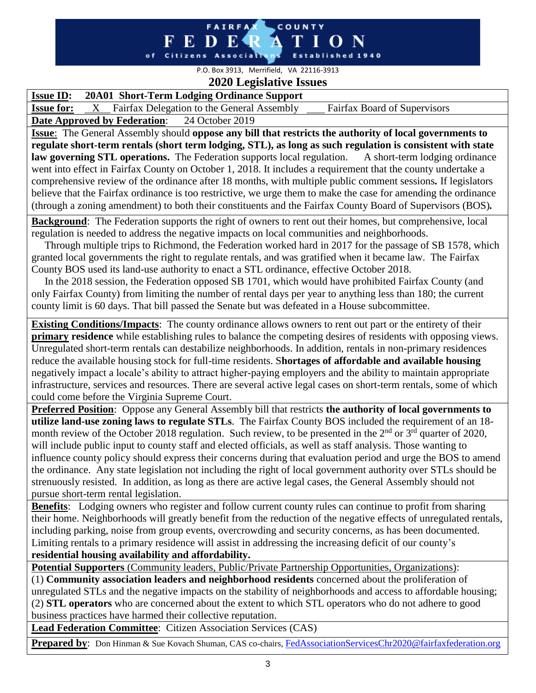#### **FAIRFA** COUNTY ED E Citizens Associations Established 1940 o f

P.O. Box 3913, Merrifield, VA 22116-3913 **2020 Legislative Issues**

## **Issue ID: 20A01 Short-Term Lodging Ordinance Support**

**Issue for:** X Fairfax Delegation to the General Assembly Fairfax Board of Supervisors

**Date Approved by Federation**: 24 October 2019

**Issue**: The General Assembly should **oppose any bill that restricts the authority of local governments to regulate short-term rentals (short term lodging, STL), as long as such regulation is consistent with state law governing STL operations.** The Federation supports local regulation. A short-term lodging ordinance went into effect in Fairfax County on October 1, 2018. It includes a requirement that the county undertake a comprehensive review of the ordinance after 18 months, with multiple public comment sessions*.* If legislators believe that the Fairfax ordinance is too restrictive, we urge them to make the case for amending the ordinance (through a zoning amendment) to both their constituents and the Fairfax County Board of Supervisors (BOS)*.* 

**Background**: The Federation supports the right of owners to rent out their homes, but comprehensive, local regulation is needed to address the negative impacts on local communities and neighborhoods.

 Through multiple trips to Richmond, the Federation worked hard in 2017 for the passage of SB 1578, which granted local governments the right to regulate rentals, and was gratified when it became law. The Fairfax County BOS used its land-use authority to enact a STL ordinance, effective October 2018.

 In the 2018 session, the Federation opposed SB 1701, which would have prohibited Fairfax County (and only Fairfax County) from limiting the number of rental days per year to anything less than 180; the current county limit is 60 days. That bill passed the Senate but was defeated in a House subcommittee.

**Existing Conditions/Impacts**: The county ordinance allows owners to rent out part or the entirety of their **primary residence** while establishing rules to balance the competing desires of residents with opposing views. Unregulated short-term rentals can destabilize neighborhoods. In addition, rentals in non-primary residences reduce the available housing stock for full-time residents. S**hortages of affordable and available housing** negatively impact a locale's ability to attract higher-paying employers and the ability to maintain appropriate infrastructure, services and resources. There are several active legal cases on short-term rentals, some of which could come before the Virginia Supreme Court.

**Preferred Position**: Oppose any General Assembly bill that restricts **the authority of local governments to utilize land-use zoning laws to regulate STLs**. The Fairfax County BOS included the requirement of an 18 month review of the October 2018 regulation. Such review, to be presented in the  $2<sup>nd</sup>$  or  $3<sup>rd</sup>$  quarter of 2020, will include public input to county staff and elected officials, as well as staff analysis. Those wanting to influence county policy should express their concerns during that evaluation period and urge the BOS to amend the ordinance. Any state legislation not including the right of local government authority over STLs should be strenuously resisted. In addition, as long as there are active legal cases, the General Assembly should not pursue short-term rental legislation.

**Benefits**: Lodging owners who register and follow current county rules can continue to profit from sharing their home. Neighborhoods will greatly benefit from the reduction of the negative effects of unregulated rentals, including parking, noise from group events, overcrowding and security concerns, as has been documented. Limiting rentals to a primary residence will assist in addressing the increasing deficit of our county's

**residential housing availability and affordability.**

**Potential Supporters** (Community leaders, Public/Private Partnership Opportunities, Organizations):

(1) **Community association leaders and neighborhood residents** concerned about the proliferation of unregulated STLs and the negative impacts on the stability of neighborhoods and access to affordable housing; (2) **STL operators** who are concerned about the extent to which STL operators who do not adhere to good business practices have harmed their collective reputation.

**Lead Federation Committee**: Citizen Association Services (CAS)

**Prepared by**: Don Hinman & Sue Kovach Shuman, CAS co-chairs, [FedAssociationServicesChr2020@fairfaxfederation.org](mailto:FedAssociationServicesChr2020@fairfaxfederation.org)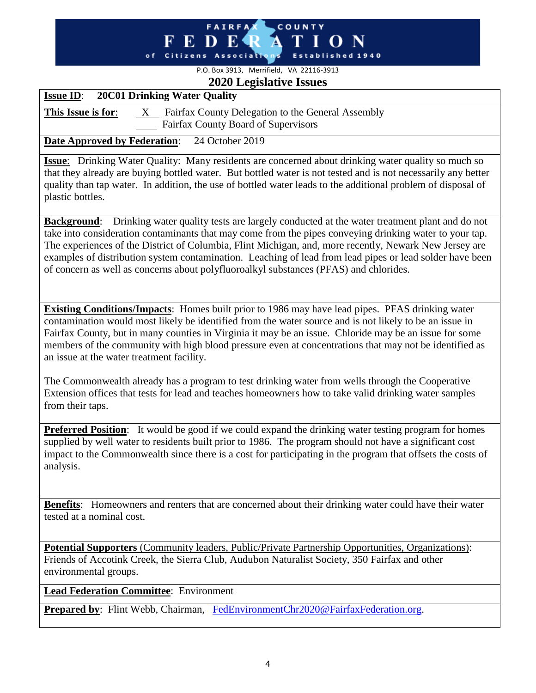#### **FAIRFAX** COUNTY FEDER **TION** 'A of Citizens Associations Established 1940

# P.O. Box 3913, Merrifield, VA 22116-3913

# **2020 Legislative Issues**

| $\sim$ 200 $\leq$ 200 $\leq$<br><b>20C01 Drinking Water Quality</b><br><b>Issue ID:</b>                                                                                                                                                                                                                                                                                                                                                                                                                                                 |
|-----------------------------------------------------------------------------------------------------------------------------------------------------------------------------------------------------------------------------------------------------------------------------------------------------------------------------------------------------------------------------------------------------------------------------------------------------------------------------------------------------------------------------------------|
| $X$ Fairfax County Delegation to the General Assembly<br>This Issue is for:                                                                                                                                                                                                                                                                                                                                                                                                                                                             |
| Fairfax County Board of Supervisors                                                                                                                                                                                                                                                                                                                                                                                                                                                                                                     |
| <b>Date Approved by Federation:</b><br>24 October 2019                                                                                                                                                                                                                                                                                                                                                                                                                                                                                  |
| <b>Issue:</b> Drinking Water Quality: Many residents are concerned about drinking water quality so much so<br>that they already are buying bottled water. But bottled water is not tested and is not necessarily any better<br>quality than tap water. In addition, the use of bottled water leads to the additional problem of disposal of<br>plastic bottles.                                                                                                                                                                         |
| <b>Background:</b> Drinking water quality tests are largely conducted at the water treatment plant and do not<br>take into consideration contaminants that may come from the pipes conveying drinking water to your tap.<br>The experiences of the District of Columbia, Flint Michigan, and, more recently, Newark New Jersey are<br>examples of distribution system contamination. Leaching of lead from lead pipes or lead solder have been<br>of concern as well as concerns about polyfluoroalkyl substances (PFAS) and chlorides. |
| <b>Existing Conditions/Impacts:</b> Homes built prior to 1986 may have lead pipes. PFAS drinking water<br>contamination would most likely be identified from the water source and is not likely to be an issue in<br>Fairfax County, but in many counties in Virginia it may be an issue. Chloride may be an issue for some<br>members of the community with high blood pressure even at concentrations that may not be identified as<br>an issue at the water treatment facility.                                                      |
| The Commonwealth already has a program to test drinking water from wells through the Cooperative<br>Extension offices that tests for lead and teaches homeowners how to take valid drinking water samples<br>from their taps.                                                                                                                                                                                                                                                                                                           |
| Preferred Position: It would be good if we could expand the drinking water testing program for homes<br>supplied by well water to residents built prior to 1986. The program should not have a significant cost<br>impact to the Commonwealth since there is a cost for participating in the program that offsets the costs of<br>analysis.                                                                                                                                                                                             |
| Benefits: Homeowners and renters that are concerned about their drinking water could have their water<br>tested at a nominal cost.                                                                                                                                                                                                                                                                                                                                                                                                      |
| <b>Potential Supporters</b> (Community leaders, Public/Private Partnership Opportunities, Organizations):<br>Friends of Accotink Creek, the Sierra Club, Audubon Naturalist Society, 350 Fairfax and other<br>environmental groups.                                                                                                                                                                                                                                                                                                     |
| <b>Lead Federation Committee:</b> Environment                                                                                                                                                                                                                                                                                                                                                                                                                                                                                           |
| Prepared by: Flint Webb, Chairman, FedEnvironmentChr2020@FairfaxFederation.org.                                                                                                                                                                                                                                                                                                                                                                                                                                                         |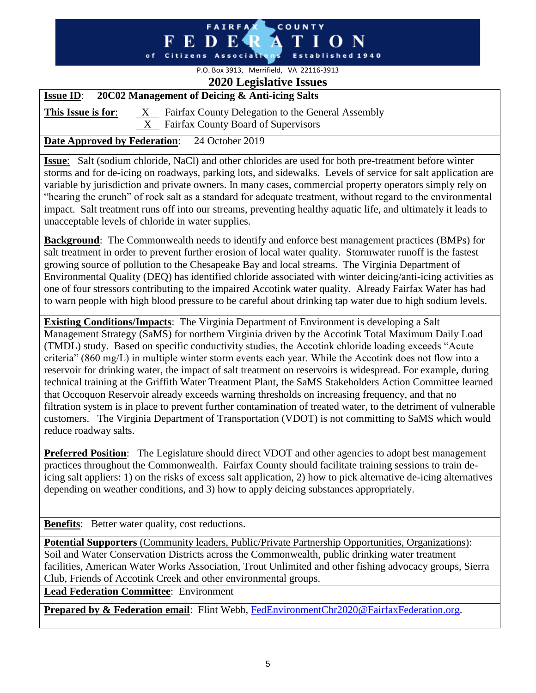#### **FAIRFA** COUNTY - R E D Citizens Associatio Establish o f

## P.O. Box 3913, Merrifield, VA 22116-3913 **2020 Legislative Issues**

## **Issue ID**: **20C02 Management of Deicing & Anti-icing Salts**

**This Issue is for:** X Fairfax County Delegation to the General Assembly X Fairfax County Board of Supervisors

## **Date Approved by Federation**: 24 October 2019

**Issue**: Salt (sodium chloride, NaCl) and other chlorides are used for both pre-treatment before winter storms and for de-icing on roadways, parking lots, and sidewalks. Levels of service for salt application are variable by jurisdiction and private owners. In many cases, commercial property operators simply rely on "hearing the crunch" of rock salt as a standard for adequate treatment, without regard to the environmental impact. Salt treatment runs off into our streams, preventing healthy aquatic life, and ultimately it leads to unacceptable levels of chloride in water supplies.

**Background**: The Commonwealth needs to identify and enforce best management practices (BMPs) for salt treatment in order to prevent further erosion of local water quality. Stormwater runoff is the fastest growing source of pollution to the Chesapeake Bay and local streams. The Virginia Department of Environmental Quality (DEQ) has identified chloride associated with winter deicing/anti-icing activities as one of four stressors contributing to the impaired Accotink water quality. Already Fairfax Water has had to warn people with high blood pressure to be careful about drinking tap water due to high sodium levels.

**Existing Conditions/Impacts**: The Virginia Department of Environment is developing a Salt Management Strategy (SaMS) for northern Virginia driven by the Accotink Total Maximum Daily Load (TMDL) study. Based on specific conductivity studies, the Accotink chloride loading exceeds "Acute criteria" (860 mg/L) in multiple winter storm events each year. While the Accotink does not flow into a reservoir for drinking water, the impact of salt treatment on reservoirs is widespread. For example, during technical training at the Griffith Water Treatment Plant, the SaMS Stakeholders Action Committee learned that Occoquon Reservoir already exceeds warning thresholds on increasing frequency, and that no filtration system is in place to prevent further contamination of treated water, to the detriment of vulnerable customers. The Virginia Department of Transportation (VDOT) is not committing to SaMS which would reduce roadway salts.

**Preferred Position:** The Legislature should direct VDOT and other agencies to adopt best management practices throughout the Commonwealth. Fairfax County should facilitate training sessions to train deicing salt appliers: 1) on the risks of excess salt application, 2) how to pick alternative de-icing alternatives depending on weather conditions, and 3) how to apply deicing substances appropriately.

**Benefits:** Better water quality, cost reductions.

**Potential Supporters** (Community leaders, Public/Private Partnership Opportunities, Organizations): Soil and Water Conservation Districts across the Commonwealth, public drinking water treatment facilities, American Water Works Association, Trout Unlimited and other fishing advocacy groups, Sierra Club, Friends of Accotink Creek and other environmental groups.

**Lead Federation Committee**: Environment

**Prepared by & Federation email:** Flint Webb, [FedEnvironmentChr2020@FairfaxFederation.org.](mailto:FedEnvironmentChr2020@FairfaxFederation.org)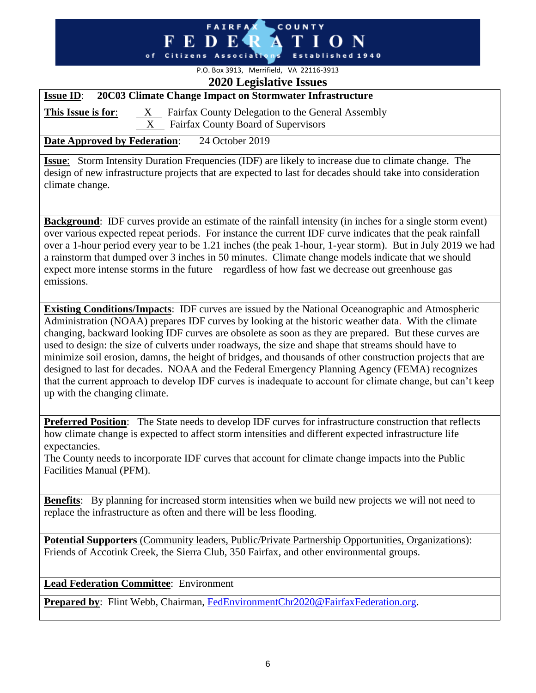## **FAIRFA** COUNTY o f

## P.O. Box 3913, Merrifield, VA 22116-3913 **2020 Legislative Issues**

| $2020$ Legislative Issues                                                                                                                                                                                                                                                                                                                                                                                                                                                                                                                                           |  |
|---------------------------------------------------------------------------------------------------------------------------------------------------------------------------------------------------------------------------------------------------------------------------------------------------------------------------------------------------------------------------------------------------------------------------------------------------------------------------------------------------------------------------------------------------------------------|--|
| 20C03 Climate Change Impact on Stormwater Infrastructure<br><b>Issue ID:</b>                                                                                                                                                                                                                                                                                                                                                                                                                                                                                        |  |
| This Issue is for:<br>Fairfax County Delegation to the General Assembly<br>X                                                                                                                                                                                                                                                                                                                                                                                                                                                                                        |  |
| <b>Fairfax County Board of Supervisors</b><br>$\mathbf{X}$                                                                                                                                                                                                                                                                                                                                                                                                                                                                                                          |  |
| <b>Date Approved by Federation:</b><br>24 October 2019                                                                                                                                                                                                                                                                                                                                                                                                                                                                                                              |  |
| Storm Intensity Duration Frequencies (IDF) are likely to increase due to climate change. The<br><b>Issue:</b><br>design of new infrastructure projects that are expected to last for decades should take into consideration<br>climate change.                                                                                                                                                                                                                                                                                                                      |  |
| <b>Background:</b> IDF curves provide an estimate of the rainfall intensity (in inches for a single storm event)<br>over various expected repeat periods. For instance the current IDF curve indicates that the peak rainfall<br>over a 1-hour period every year to be 1.21 inches (the peak 1-hour, 1-year storm). But in July 2019 we had<br>a rainstorm that dumped over 3 inches in 50 minutes. Climate change models indicate that we should<br>expect more intense storms in the future – regardless of how fast we decrease out greenhouse gas<br>emissions. |  |

**Existing Conditions/Impacts**: IDF curves are issued by the National Oceanographic and Atmospheric Administration (NOAA) prepares IDF curves by looking at the historic weather data. With the climate changing, backward looking IDF curves are obsolete as soon as they are prepared. But these curves are used to design: the size of culverts under roadways, the size and shape that streams should have to minimize soil erosion, damns, the height of bridges, and thousands of other construction projects that are designed to last for decades. NOAA and the Federal Emergency Planning Agency (FEMA) recognizes that the current approach to develop IDF curves is inadequate to account for climate change, but can't keep up with the changing climate.

**Preferred Position**: The State needs to develop IDF curves for infrastructure construction that reflects how climate change is expected to affect storm intensities and different expected infrastructure life expectancies.

The County needs to incorporate IDF curves that account for climate change impacts into the Public Facilities Manual (PFM).

**Benefits**: By planning for increased storm intensities when we build new projects we will not need to replace the infrastructure as often and there will be less flooding.

**Potential Supporters** (Community leaders, Public/Private Partnership Opportunities, Organizations): Friends of Accotink Creek, the Sierra Club, 350 Fairfax, and other environmental groups.

**Lead Federation Committee**: Environment

**Prepared by**: Flint Webb, Chairman, [FedEnvironmentChr2020@FairfaxFederation.org.](mailto:FedEnvironmentChr2020@FairfaxFederation.org)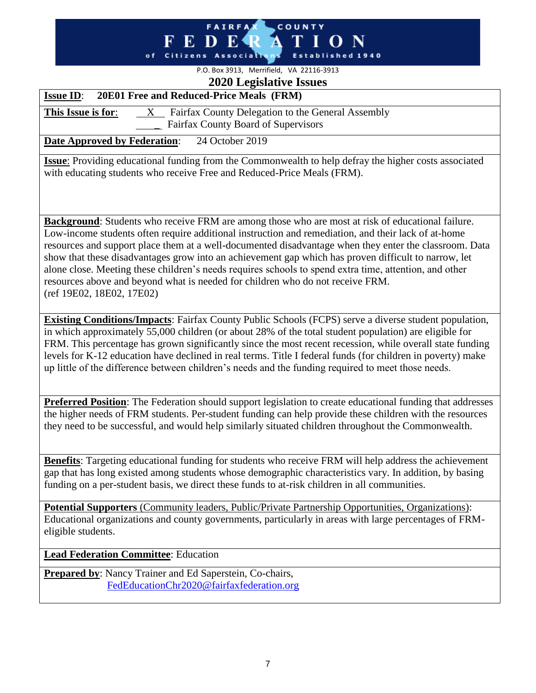#### FAIRFAX COUNTY FEDE<sup>®</sup> ON А  $\mathbf T$ Ī of Citizens Associations Established 1940

## P.O. Box 3913, Merrifield, VA 22116-3913 **2020 Legislative Issues**

| $2020$ Lygbiau ve Ibbueb<br>20E01 Free and Reduced-Price Meals (FRM)<br><b>Issue ID:</b>                                                                                                                                 |  |
|--------------------------------------------------------------------------------------------------------------------------------------------------------------------------------------------------------------------------|--|
| Fairfax County Delegation to the General Assembly<br>This Issue is for:<br>$X_{-}$                                                                                                                                       |  |
| Fairfax County Board of Supervisors                                                                                                                                                                                      |  |
| 24 October 2019<br><b>Date Approved by Federation:</b>                                                                                                                                                                   |  |
|                                                                                                                                                                                                                          |  |
| <b>Issue:</b> Providing educational funding from the Commonwealth to help defray the higher costs associated<br>with educating students who receive Free and Reduced-Price Meals (FRM).                                  |  |
|                                                                                                                                                                                                                          |  |
|                                                                                                                                                                                                                          |  |
|                                                                                                                                                                                                                          |  |
| <b>Background:</b> Students who receive FRM are among those who are most at risk of educational failure.                                                                                                                 |  |
| Low-income students often require additional instruction and remediation, and their lack of at-home<br>resources and support place them at a well-documented disadvantage when they enter the classroom. Data            |  |
| show that these disadvantages grow into an achievement gap which has proven difficult to narrow, let                                                                                                                     |  |
| alone close. Meeting these children's needs requires schools to spend extra time, attention, and other                                                                                                                   |  |
| resources above and beyond what is needed for children who do not receive FRM.                                                                                                                                           |  |
| (ref 19E02, 18E02, 17E02)                                                                                                                                                                                                |  |
|                                                                                                                                                                                                                          |  |
| <b>Existing Conditions/Impacts:</b> Fairfax County Public Schools (FCPS) serve a diverse student population,                                                                                                             |  |
| in which approximately 55,000 children (or about 28% of the total student population) are eligible for                                                                                                                   |  |
| FRM. This percentage has grown significantly since the most recent recession, while overall state funding<br>levels for K-12 education have declined in real terms. Title I federal funds (for children in poverty) make |  |
| up little of the difference between children's needs and the funding required to meet those needs.                                                                                                                       |  |
|                                                                                                                                                                                                                          |  |
|                                                                                                                                                                                                                          |  |
| Preferred Position: The Federation should support legislation to create educational funding that addresses                                                                                                               |  |
| the higher needs of FRM students. Per-student funding can help provide these children with the resources<br>they need to be successful, and would help similarly situated children throughout the Commonwealth.          |  |
|                                                                                                                                                                                                                          |  |
|                                                                                                                                                                                                                          |  |
| Benefits: Targeting educational funding for students who receive FRM will help address the achievement                                                                                                                   |  |
| gap that has long existed among students whose demographic characteristics vary. In addition, by basing                                                                                                                  |  |
| funding on a per-student basis, we direct these funds to at-risk children in all communities.                                                                                                                            |  |
| <b>Potential Supporters</b> (Community leaders, Public/Private Partnership Opportunities, Organizations):                                                                                                                |  |
| Educational organizations and county governments, particularly in areas with large percentages of FRM-                                                                                                                   |  |
| eligible students.                                                                                                                                                                                                       |  |
| <b>Lead Federation Committee:</b> Education                                                                                                                                                                              |  |
|                                                                                                                                                                                                                          |  |
| Prepared by: Nancy Trainer and Ed Saperstein, Co-chairs,                                                                                                                                                                 |  |
| FedEducationChr2020@fairfaxfederation.org                                                                                                                                                                                |  |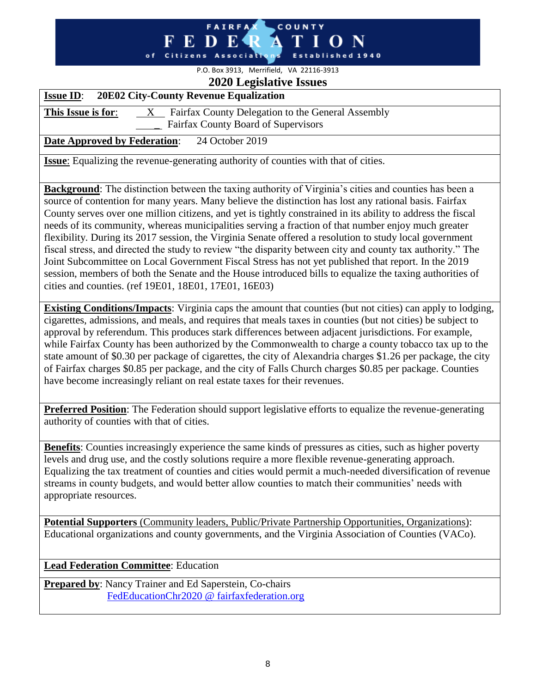#### **FAIRFA** COUNTY -R E D Associativ Establi

# P.O. Box 3913, Merrifield, VA 22116-3913

## **2020 Legislative Issues Issue ID**: **20E02 City-County Revenue Equalization**

# **This Issue is for:** X Fairfax County Delegation to the General Assembly Fairfax County Board of Supervisors

## **Date Approved by Federation**: 24 October 2019

**Issue**: Equalizing the revenue-generating authority of counties with that of cities.

**Background**: The distinction between the taxing authority of Virginia's cities and counties has been a source of contention for many years. Many believe the distinction has lost any rational basis. Fairfax County serves over one million citizens, and yet is tightly constrained in its ability to address the fiscal needs of its community, whereas municipalities serving a fraction of that number enjoy much greater flexibility. During its 2017 session, the Virginia Senate offered a resolution to study local government fiscal stress, and directed the study to review "the disparity between city and county tax authority." The Joint Subcommittee on Local Government Fiscal Stress has not yet published that report. In the 2019 session, members of both the Senate and the House introduced bills to equalize the taxing authorities of cities and counties. (ref 19E01, 18E01, 17E01, 16E03)

**Existing Conditions/Impacts**: Virginia caps the amount that counties (but not cities) can apply to lodging, cigarettes, admissions, and meals, and requires that meals taxes in counties (but not cities) be subject to approval by referendum. This produces stark differences between adjacent jurisdictions. For example, while Fairfax County has been authorized by the Commonwealth to charge a county tobacco tax up to the state amount of \$0.30 per package of cigarettes, the city of Alexandria charges \$1.26 per package, the city of Fairfax charges \$0.85 per package, and the city of Falls Church charges \$0.85 per package. Counties have become increasingly reliant on real estate taxes for their revenues.

**Preferred Position**: The Federation should support legislative efforts to equalize the revenue-generating authority of counties with that of cities.

**Benefits**: Counties increasingly experience the same kinds of pressures as cities, such as higher poverty levels and drug use, and the costly solutions require a more flexible revenue-generating approach. Equalizing the tax treatment of counties and cities would permit a much-needed diversification of revenue streams in county budgets, and would better allow counties to match their communities' needs with appropriate resources.

**Potential Supporters** (Community leaders, Public/Private Partnership Opportunities, Organizations): Educational organizations and county governments, and the Virginia Association of Counties (VACo).

**Lead Federation Committee**: Education

**Prepared by**: Nancy Trainer and Ed Saperstein, Co-chairs [FedEducationChr2020 @ fairfaxfederation.org](mailto:FedEducationChr2020%20@%20fairfaxfederation.org?cc=FedWebmaster2020%20@%20fairfaxfederation.org&subject=From%20the%20Federation%20website&body=Please%20remove%20all%20spaces%20from%20the%20addresses%20above%20and%20delete%20this%20sentence%20before%20queuing%20for%20delivery%20Thanks)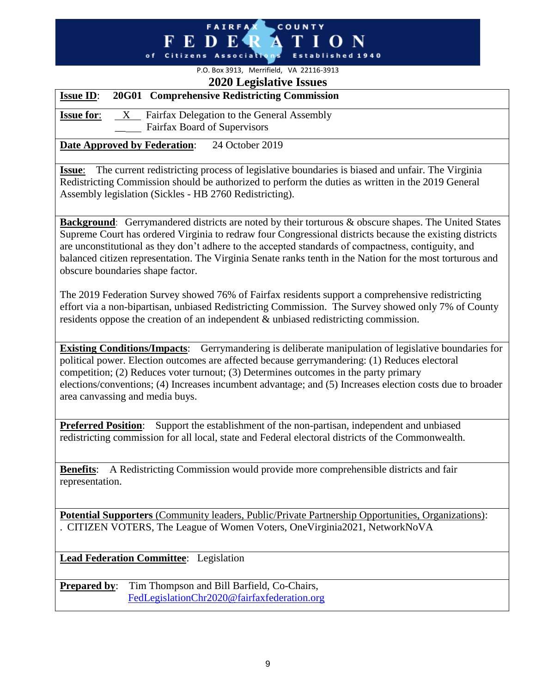# **FAIRFA** COUNTY

### P.O. Box 3913, Merrifield, VA 22116-3913 **2020 Legislative Issues**

|                   | $2020$ Ligidan $\sqrt{6}$ Roberts                                               |  |
|-------------------|---------------------------------------------------------------------------------|--|
| <b>Issue ID:</b>  | 20G01 Comprehensive Redistricting Commission                                    |  |
| <b>Issue for:</b> | Fairfax Delegation to the General Assembly<br>X<br>Fairfax Board of Supervisors |  |
|                   | 24 October 2019<br><b>Date Approved by Federation:</b>                          |  |

**Issue**: The current redistricting process of legislative boundaries is biased and unfair. The Virginia Redistricting Commission should be authorized to perform the duties as written in the 2019 General Assembly legislation (Sickles - HB 2760 Redistricting).

**Background**: Gerrymandered districts are noted by their torturous & obscure shapes. The United States Supreme Court has ordered Virginia to redraw four Congressional districts because the existing districts are unconstitutional as they don't adhere to the accepted standards of compactness, contiguity, and balanced citizen representation. The Virginia Senate ranks tenth in the Nation for the most torturous and obscure boundaries shape factor.

The 2019 Federation Survey showed 76% of Fairfax residents support a comprehensive redistricting effort via a non-bipartisan, unbiased Redistricting Commission. The Survey showed only 7% of County residents oppose the creation of an independent & unbiased redistricting commission.

**Existing Conditions/Impacts**: Gerrymandering is deliberate manipulation of legislative boundaries for political power. Election outcomes are affected because gerrymandering: (1) Reduces electoral competition; (2) Reduces voter turnout; (3) Determines outcomes in the party primary elections/conventions; (4) Increases incumbent advantage; and (5) Increases election costs due to broader area canvassing and media buys.

**Preferred Position:** Support the establishment of the non-partisan, independent and unbiased redistricting commission for all local, state and Federal electoral districts of the Commonwealth.

**Benefits**: A Redistricting Commission would provide more comprehensible districts and fair representation.

**Potential Supporters** (Community leaders, Public/Private Partnership Opportunities, Organizations): . CITIZEN VOTERS, The League of Women Voters, OneVirginia2021, NetworkNoVA

**Lead Federation Committee**: Legislation

**Prepared by:** Tim Thompson and Bill Barfield, Co-Chairs, [FedLegislationChr2020@fairfaxfederation.org](mailto:FedLegislationChr2020@fairfaxfederation.org)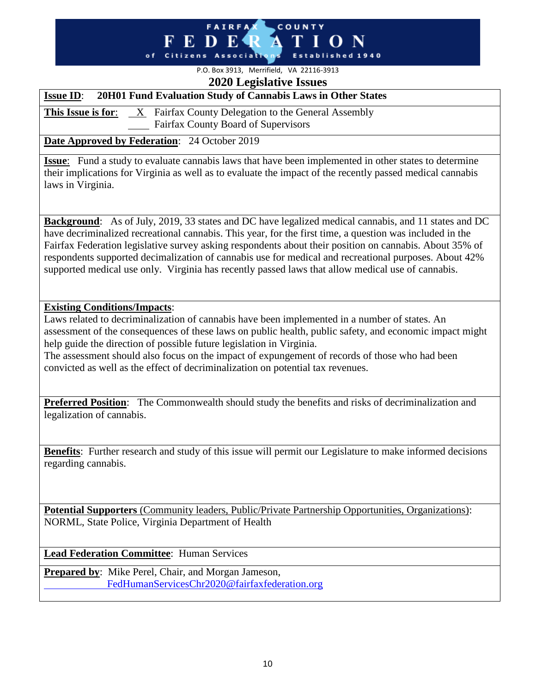#### **FAIRFA** COUNTY **FEDE** of Citizens Association Established 1940

## P.O. Box 3913, Merrifield, VA 22116-3913 **2020 Legislative Issues**

## **Issue ID**: **20H01 Fund Evaluation Study of Cannabis Laws in Other States**

**This Issue is for:** X Fairfax County Delegation to the General Assembly Fairfax County Board of Supervisors

## **Date Approved by Federation**: 24 October 2019

**Issue**: Fund a study to evaluate cannabis laws that have been implemented in other states to determine their implications for Virginia as well as to evaluate the impact of the recently passed medical cannabis laws in Virginia.

**Background**: As of July, 2019, 33 states and DC have legalized medical cannabis, and 11 states and DC have decriminalized recreational cannabis. This year, for the first time, a question was included in the Fairfax Federation legislative survey asking respondents about their position on cannabis. About 35% of respondents supported decimalization of cannabis use for medical and recreational purposes. About 42% supported medical use only. Virginia has recently passed laws that allow medical use of cannabis.

## **Existing Conditions/Impacts**:

Laws related to decriminalization of cannabis have been implemented in a number of states. An assessment of the consequences of these laws on public health, public safety, and economic impact might help guide the direction of possible future legislation in Virginia.

The assessment should also focus on the impact of expungement of records of those who had been convicted as well as the effect of decriminalization on potential tax revenues.

**Preferred Position:** The Commonwealth should study the benefits and risks of decriminalization and legalization of cannabis.

**Benefits**: Further research and study of this issue will permit our Legislature to make informed decisions regarding cannabis.

**Potential Supporters** (Community leaders, Public/Private Partnership Opportunities, Organizations): NORML, State Police, Virginia Department of Health

**Lead Federation Committee**: Human Services

**Prepared by:** Mike Perel, Chair, and Morgan Jameson, [FedHumanServicesChr2020@fairfaxfederation.org](mailto:FedHumanServicesChr2020@fairfaxfederation.org)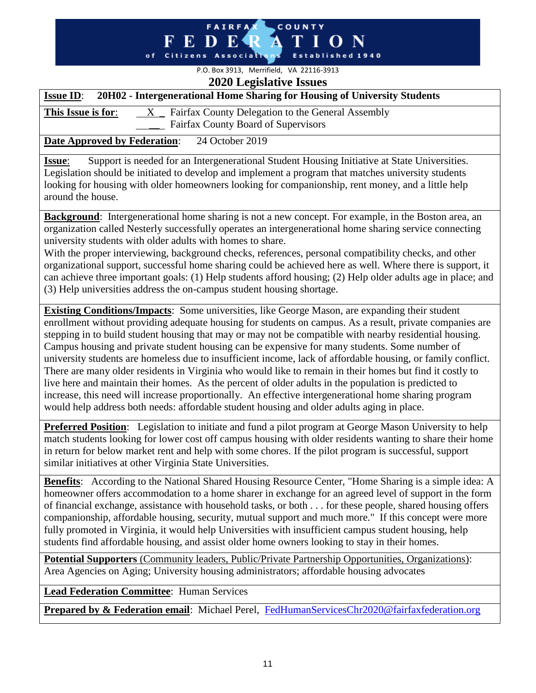#### **FAIRFA** COUNTY К. o f Citizens

P.O. Box 3913, Merrifield, VA 22116-3913

| <b>2020 Legislative Issues</b>                                                                                                                                                                                                                                                                                                                                                                                                                                                                                                                                                                                                                                                                       |  |  |  |
|------------------------------------------------------------------------------------------------------------------------------------------------------------------------------------------------------------------------------------------------------------------------------------------------------------------------------------------------------------------------------------------------------------------------------------------------------------------------------------------------------------------------------------------------------------------------------------------------------------------------------------------------------------------------------------------------------|--|--|--|
| 20H02 - Intergenerational Home Sharing for Housing of University Students<br><b>Issue ID:</b>                                                                                                                                                                                                                                                                                                                                                                                                                                                                                                                                                                                                        |  |  |  |
| $X$ Fairfax County Delegation to the General Assembly<br>This Issue is for:                                                                                                                                                                                                                                                                                                                                                                                                                                                                                                                                                                                                                          |  |  |  |
| Fairfax County Board of Supervisors                                                                                                                                                                                                                                                                                                                                                                                                                                                                                                                                                                                                                                                                  |  |  |  |
| <b>Date Approved by Federation:</b><br>24 October 2019                                                                                                                                                                                                                                                                                                                                                                                                                                                                                                                                                                                                                                               |  |  |  |
| Support is needed for an Intergenerational Student Housing Initiative at State Universities.<br><b>Issue:</b><br>Legislation should be initiated to develop and implement a program that matches university students<br>looking for housing with older homeowners looking for companionship, rent money, and a little help<br>around the house.                                                                                                                                                                                                                                                                                                                                                      |  |  |  |
| <b>Background:</b> Intergenerational home sharing is not a new concept. For example, in the Boston area, an<br>organization called Nesterly successfully operates an intergenerational home sharing service connecting<br>university students with older adults with homes to share.<br>With the proper interviewing, background checks, references, personal compatibility checks, and other<br>organizational support, successful home sharing could be achieved here as well. Where there is support, it<br>can achieve three important goals: (1) Help students afford housing; (2) Help older adults age in place; and<br>(3) Help universities address the on-campus student housing shortage. |  |  |  |
| <b>Existing Conditions/Impacts:</b> Some universities, like George Mason, are expanding their student<br>enrollment without providing adequate housing for students on campus. As a result, private companies are<br>stepping in to build student housing that may or may not be compatible with nearby residential housing.<br>Campus housing and private student housing can be expensive for many students. Some number of<br>university students are homeless due to insufficient income, lack of affordable housing, or family conflict.                                                                                                                                                        |  |  |  |

There are many older residents in Virginia who would like to remain in their homes but find it costly to live here and maintain their homes. As the percent of older adults in the population is predicted to increase, this need will increase proportionally. An effective intergenerational home sharing program would help address both needs: affordable student housing and older adults aging in place.

**Preferred Position:** Legislation to initiate and fund a pilot program at George Mason University to help match students looking for lower cost off campus housing with older residents wanting to share their home in return for below market rent and help with some chores. If the pilot program is successful, support similar initiatives at other Virginia State Universities.

**Benefits**: According to the National Shared Housing Resource Center, "Home Sharing is a simple idea: A homeowner offers accommodation to a home sharer in exchange for an agreed level of support in the form of financial exchange, assistance with household tasks, or both . . . for these people, shared housing offers companionship, affordable housing, security, mutual support and much more." If this concept were more fully promoted in Virginia, it would help Universities with insufficient campus student housing, help students find affordable housing, and assist older home owners looking to stay in their homes.

**Potential Supporters** (Community leaders, Public/Private Partnership Opportunities, Organizations): Area Agencies on Aging; University housing administrators; affordable housing advocates

**Lead Federation Committee**: Human Services

**Prepared by & Federation email:** Michael Perel, [FedHumanServicesChr2020@fairfaxfederation.org](mailto:FedHumanServicesChr2020@fairfaxfederation.org)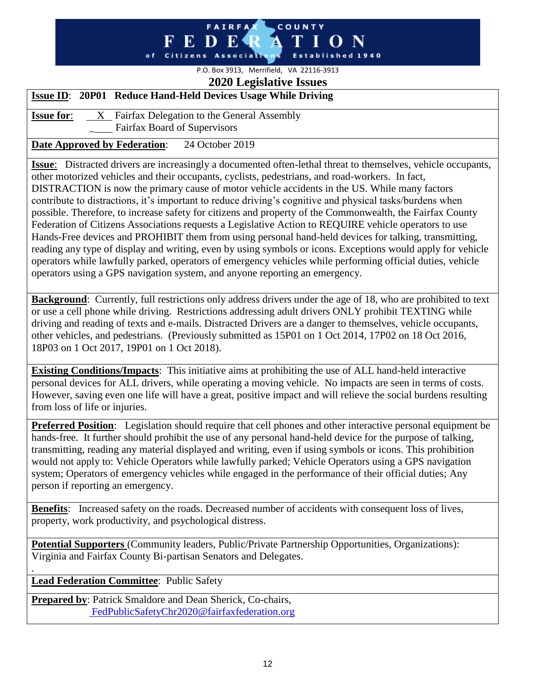#### **FAIRFA** COUNTY - R E D Citizens Association Established 1940

## P.O. Box 3913, Merrifield, VA 22116-3913 **2020 Legislative Issues**

## **Issue ID**: **20P01 Reduce Hand-Held Devices Usage While Driving**

**Issue for:** X Fairfax Delegation to the General Assembly \_ Fairfax Board of Supervisors

## **Date Approved by Federation**: 24 October 2019

**Issue**: Distracted drivers are increasingly a documented often-lethal threat to themselves, vehicle occupants, other motorized vehicles and their occupants, cyclists, pedestrians, and road-workers. In fact, DISTRACTION is now the primary cause of motor vehicle accidents in the US. While many factors contribute to distractions, it's important to reduce driving's cognitive and physical tasks/burdens when possible. Therefore, to increase safety for citizens and property of the Commonwealth, the Fairfax County Federation of Citizens Associations requests a Legislative Action to REQUIRE vehicle operators to use Hands-Free devices and PROHIBIT them from using personal hand-held devices for talking, transmitting, reading any type of display and writing, even by using symbols or icons. Exceptions would apply for vehicle operators while lawfully parked, operators of emergency vehicles while performing official duties, vehicle operators using a GPS navigation system, and anyone reporting an emergency.

**Background**: Currently, full restrictions only address drivers under the age of 18, who are prohibited to text or use a cell phone while driving. Restrictions addressing adult drivers ONLY prohibit TEXTING while driving and reading of texts and e-mails. Distracted Drivers are a danger to themselves, vehicle occupants, other vehicles, and pedestrians. (Previously submitted as 15P01 on 1 Oct 2014, 17P02 on 18 Oct 2016, 18P03 on 1 Oct 2017, 19P01 on 1 Oct 2018).

**Existing Conditions/Impacts**: This initiative aims at prohibiting the use of ALL hand-held interactive personal devices for ALL drivers, while operating a moving vehicle. No impacts are seen in terms of costs. However, saving even one life will have a great, positive impact and will relieve the social burdens resulting from loss of life or injuries.

**Preferred Position:** Legislation should require that cell phones and other interactive personal equipment be hands-free. It further should prohibit the use of any personal hand-held device for the purpose of talking, transmitting, reading any material displayed and writing, even if using symbols or icons. This prohibition would not apply to: Vehicle Operators while lawfully parked; Vehicle Operators using a GPS navigation system; Operators of emergency vehicles while engaged in the performance of their official duties; Any person if reporting an emergency.

**Benefits:** Increased safety on the roads. Decreased number of accidents with consequent loss of lives, property, work productivity, and psychological distress.

**Potential Supporters** (Community leaders, Public/Private Partnership Opportunities, Organizations): Virginia and Fairfax County Bi-partisan Senators and Delegates.

## **Lead Federation Committee**: Public Safety

.

**Prepared by**: Patrick Smaldore and Dean Sherick, Co-chairs, [FedPublicSafetyChr2020@fairfaxfederation.org](mailto:FedPublicSafetyChr2020@fairfaxfederation.org)